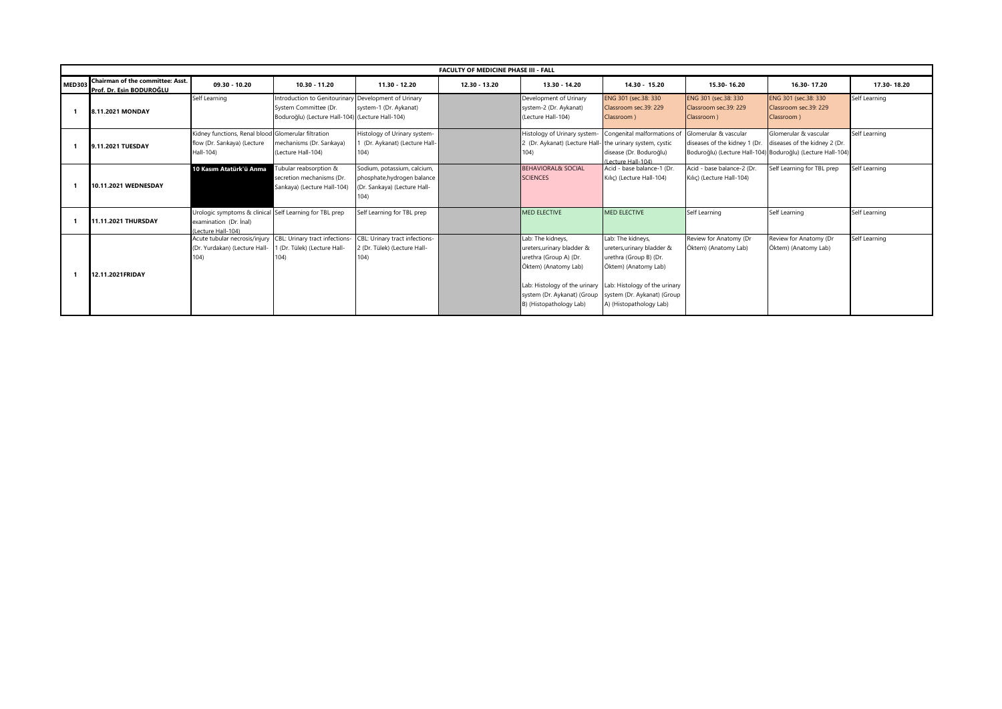|               | <b>FACULTY OF MEDICINE PHASE III - FALL</b>                  |                                                                                                         |                                                                                                            |                                                                                                     |               |                                                                                                                                                                                                                            |                                                                                                                                                             |                                                                                                                       |                                                              |               |
|---------------|--------------------------------------------------------------|---------------------------------------------------------------------------------------------------------|------------------------------------------------------------------------------------------------------------|-----------------------------------------------------------------------------------------------------|---------------|----------------------------------------------------------------------------------------------------------------------------------------------------------------------------------------------------------------------------|-------------------------------------------------------------------------------------------------------------------------------------------------------------|-----------------------------------------------------------------------------------------------------------------------|--------------------------------------------------------------|---------------|
| <b>MED303</b> | Chairman of the committee: Asst.<br>Prof. Dr. Esin BODUROĞLU | 09.30 - 10.20                                                                                           | 10.30 - 11.20                                                                                              | 11.30 - 12.20                                                                                       | 12.30 - 13.20 | 13.30 - 14.20                                                                                                                                                                                                              | 14.30 - 15.20                                                                                                                                               | 15.30-16.20                                                                                                           | 16.30-17.20                                                  | 17.30-18.20   |
|               | 8.11.2021 MONDAY                                             | Self Learning                                                                                           | Introduction to Genitourinary<br>System Committee (Dr.<br>Boduroğlu) (Lecture Hall-104) (Lecture Hall-104) | Development of Urinary<br>system-1 (Dr. Aykanat)                                                    |               | Development of Urinary<br>system-2 (Dr. Aykanat)<br>(Lecture Hall-104)                                                                                                                                                     | ENG 301 (sec.38: 330<br>Classroom sec.39: 229<br>Classroom )                                                                                                | ENG 301 (sec.38: 330<br>Classroom sec.39: 229<br>Classroom)                                                           | ENG 301 (sec.38: 330)<br>Classroom sec.39: 229<br>Classroom) | Self Learning |
|               | 9.11.2021 TUESDAY                                            | Kidney functions, Renal blood Glomerular filtration<br>flow (Dr. Sarıkaya) (Lecture<br>Hall-104)        | mechanisms (Dr. Sarıkaya)<br>(Lecture Hall-104)                                                            | Histology of Urinary system-<br>(Dr. Aykanat) (Lecture Hall-<br>104)                                |               | Histology of Urinary system- Congenital malformations of<br>2 (Dr. Aykanat) (Lecture Hall- the urinary system, cystic<br>104)                                                                                              | disease (Dr. Boduroğlu)<br>(Lecture Hall-104)                                                                                                               | Glomerular & vascular<br>diseases of the kidney 1 (Dr.<br>Boduroğlu) (Lecture Hall-104) Boduroğlu) (Lecture Hall-104) | Glomerular & vascular<br>diseases of the kidney 2 (Dr.       | Self Learning |
|               | 10.11.2021 WEDNESDAY                                         | 10 Kasım Atatürk'ü Anma                                                                                 | Tubular reabsorption &<br>secretion mechanisms (Dr.<br>Sarıkaya) (Lecture Hall-104)                        | Sodium, potassium, calcium,<br>phosphate, hydrogen balance<br>(Dr. Sarıkaya) (Lecture Hall-<br>104) |               | <b>BEHAVIORAL&amp; SOCIAL</b><br><b>SCIENCES</b>                                                                                                                                                                           | Acid - base balance-1 (Dr.<br>Kilic) (Lecture Hall-104)                                                                                                     | Acid - base balance-2 (Dr.<br>Kilic) (Lecture Hall-104)                                                               | Self Learning for TBL prep                                   | Self Learning |
|               | 11.11.2021 THURSDAY                                          | Urologic symptoms & clinical Self Learning for TBL prep<br>examination (Dr. Inal)<br>(Lecture Hall-104) |                                                                                                            | Self Learning for TBL prep                                                                          |               | <b>MED ELECTIVE</b>                                                                                                                                                                                                        | <b>MED ELECTIVE</b>                                                                                                                                         | Self Learning                                                                                                         | Self Learning                                                | Self Learning |
|               | 12.11.2021FRIDAY                                             | Acute tubular necrosis/injury<br>(Dr. Yurdakan) (Lecture Hall-<br>104)                                  | CBL: Urinary tract infections-<br>1 (Dr. Tülek) (Lecture Hall-<br>(04)                                     | CBL: Urinary tract infections-<br>2 (Dr. Tülek) (Lecture Hall-<br>104)                              |               | Lab: The kidneys,<br>ureters, urinary bladder &<br>urethra (Group A) (Dr.<br>Öktem) (Anatomy Lab)<br>Lab: Histology of the urinary Lab: Histology of the urinary<br>system (Dr. Aykanat) (Group<br>B) (Histopathology Lab) | Lab: The kidneys,<br>ureters, urinary bladder &<br>urethra (Group B) (Dr.<br>Öktem) (Anatomy Lab)<br>system (Dr. Aykanat) (Group<br>A) (Histopathology Lab) | Review for Anatomy (Dr<br>Öktem) (Anatomy Lab)                                                                        | Review for Anatomy (Dr<br>Öktem) (Anatomy Lab)               | Self Learning |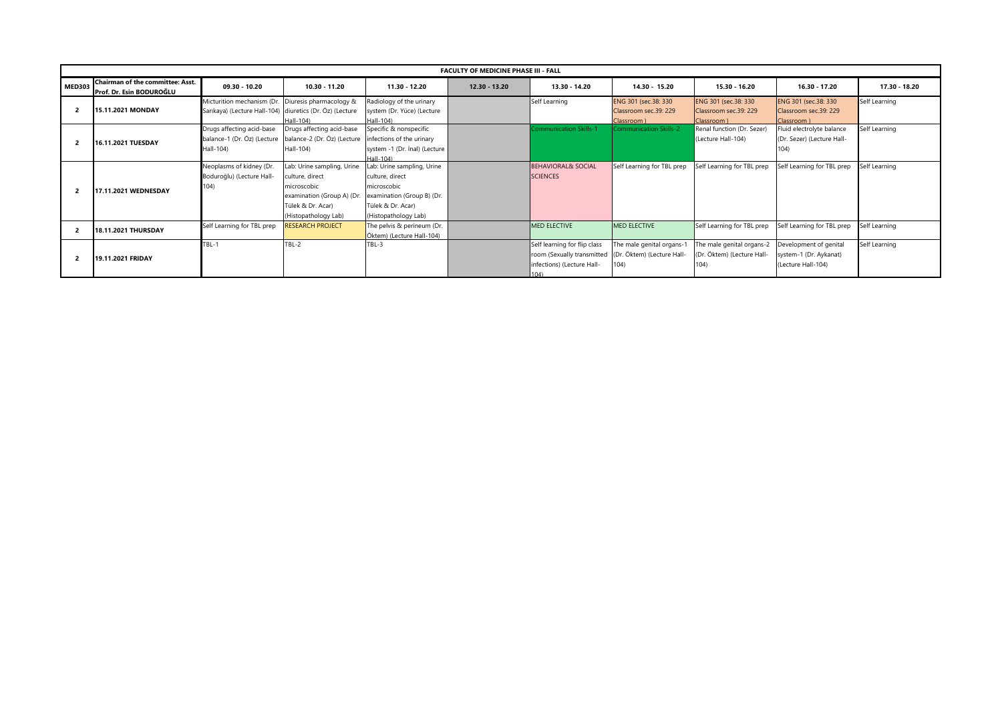|               | <b>FACULTY OF MEDICINE PHASE III - FALL</b>                         |                                                          |                                                                                   |                                             |                 |                               |                                     |                                      |                                     |               |  |
|---------------|---------------------------------------------------------------------|----------------------------------------------------------|-----------------------------------------------------------------------------------|---------------------------------------------|-----------------|-------------------------------|-------------------------------------|--------------------------------------|-------------------------------------|---------------|--|
| <b>MED303</b> | <b>Chairman of the committee: Asst.</b><br>Prof. Dr. Esin BODUROĞLU | $09.30 - 10.20$                                          | 10.30 - 11.20                                                                     | 11.30 - 12.20                               | $12.30 - 13.20$ | 13.30 - 14.20                 | $14.30 - 15.20$                     | 15.30 - 16.20                        | 16.30 - 17.20                       | 17.30 - 18.20 |  |
|               |                                                                     | Micturition mechanism (Dr. Diuresis pharmacology &       |                                                                                   | Radiology of the urinary                    |                 | Self Learning                 | ENG 301 (sec.38: 330                | ENG 301 (sec.38: 330                 | ENG 301 (sec.38: 330)               | Self Learning |  |
|               | <b>15.11.2021 MONDAY</b>                                            | Sarıkaya) (Lecture Hall-104) diuretics (Dr. Öz) (Lecture | $Hall-104$                                                                        | system (Dr. Yüce) (Lecture<br>Hall-104)     |                 |                               | Classroom sec.39: 229<br>Classroom) | Classroom sec.39: 229<br>Classroom ) | Classroom sec.39: 229<br>Classroom) |               |  |
|               |                                                                     | Drugs affecting acid-base                                | Drugs affecting acid-base                                                         | Specific & nonspecific                      |                 | <b>Communication Skills-1</b> | <b>Communication Skills-2</b>       | Renal function (Dr. Sezer)           | Fluid electrolyte balance           | Self Learning |  |
|               | 16.11.2021 TUESDAY                                                  |                                                          | balance-1 (Dr. Öz) (Lecture balance-2 (Dr. Öz) (Lecture infections of the urinary |                                             |                 |                               |                                     | (Lecture Hall-104)                   | (Dr. Sezer) (Lecture Hall-          |               |  |
|               |                                                                     | Hall-104)                                                | Hall-104)                                                                         | system -1 (Dr. Inal) (Lecture<br>$Hall-104$ |                 |                               |                                     |                                      | 104)                                |               |  |
|               |                                                                     | Neoplasms of kidney (Dr.                                 | Lab: Urine sampling, Urine                                                        | ab: Urine sampling, Urine                   |                 | <b>BEHAVIORAL&amp; SOCIAL</b> | Self Learning for TBL prep          | Self Learning for TBL prep           | Self Learning for TBL prep          | Self Learning |  |
|               | 104)<br><b>17.11.2021 WEDNESDAY</b>                                 | Boduroğlu) (Lecture Hall-                                | culture, direct                                                                   | culture, direct                             |                 | <b>SCIENCES</b>               |                                     |                                      |                                     |               |  |
| 2             |                                                                     |                                                          | microscobic                                                                       | microscobic                                 |                 |                               |                                     |                                      |                                     |               |  |
|               |                                                                     |                                                          | examination (Group A) (Dr                                                         | examination (Group B) (Dr.                  |                 |                               |                                     |                                      |                                     |               |  |
|               |                                                                     |                                                          | Tülek & Dr. Acar)                                                                 | Tülek & Dr. Acar)                           |                 |                               |                                     |                                      |                                     |               |  |
|               |                                                                     |                                                          | (Histopathology Lab)                                                              | (Histopathology Lab)                        |                 |                               |                                     |                                      |                                     |               |  |
|               | <b>18.11.2021 THURSDAY</b>                                          | Self Learning for TBL prep                               | RESEARCH PROJECT                                                                  | The pelvis & perineum (Dr.                  |                 | <b>MED ELECTIVE</b>           | <b>MED ELECTIVE</b>                 | Self Learning for TBL prep           | Self Learning for TBL prep          | Self Learning |  |
|               |                                                                     |                                                          |                                                                                   | Öktem) (Lecture Hall-104)                   |                 |                               |                                     |                                      |                                     |               |  |
|               |                                                                     | TBL-1                                                    | TBL-2                                                                             | TBL-3                                       |                 | Self learning for flip class  | The male genital organs-1           | The male genital organs-2            | Development of genital              | Self Learning |  |
| 2             | <b>19.11.2021 FRIDAY</b>                                            |                                                          |                                                                                   |                                             |                 | room (Sexually transmitted    | (Dr. Öktem) (Lecture Hall-          | (Dr. Öktem) (Lecture Hall-           | system-1 (Dr. Aykanat)              |               |  |
|               |                                                                     |                                                          |                                                                                   |                                             |                 | Infections) (Lecture Hall-    | 104)                                | 104)                                 | (Lecture Hall-104)                  |               |  |
|               |                                                                     |                                                          |                                                                                   |                                             |                 | 104)                          |                                     |                                      |                                     |               |  |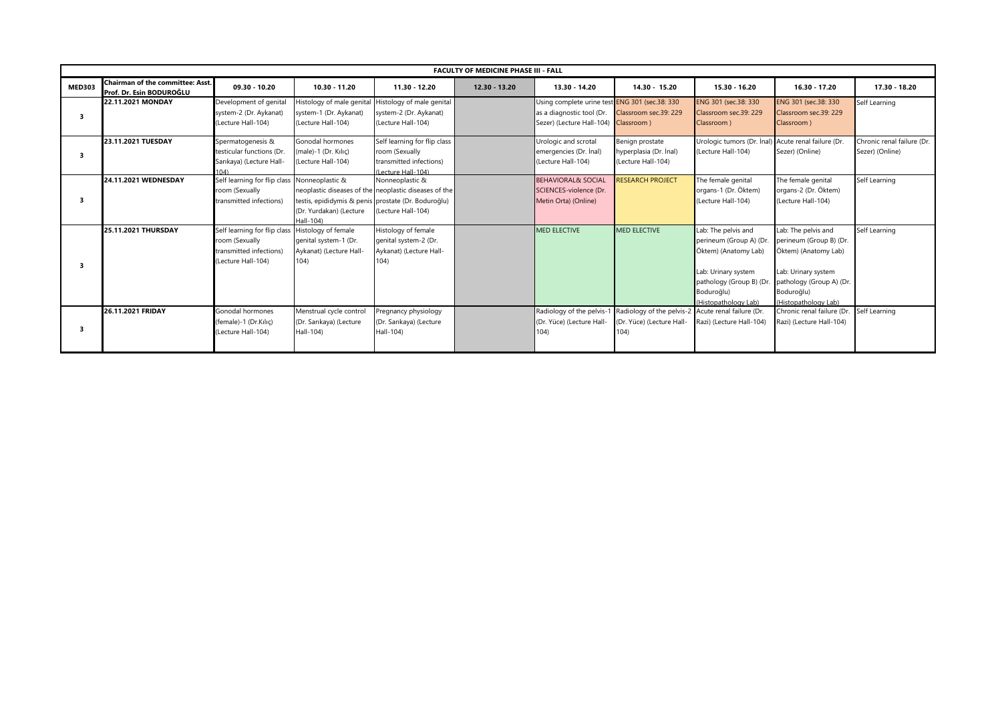|               | <b>FACULTY OF MEDICINE PHASE III - FALL</b>                  |                                              |                                                     |                                                       |                 |                                                |                                                    |                            |                            |                            |  |
|---------------|--------------------------------------------------------------|----------------------------------------------|-----------------------------------------------------|-------------------------------------------------------|-----------------|------------------------------------------------|----------------------------------------------------|----------------------------|----------------------------|----------------------------|--|
| <b>MED303</b> | Chairman of the committee: Asst.<br>Prof. Dr. Esin BODUROĞLU | 09.30 - 10.20                                | 10.30 - 11.20                                       | 11.30 - 12.20                                         | $12.30 - 13.20$ | 13.30 - 14.20                                  | 14.30 - 15.20                                      | 15.30 - 16.20              | 16.30 - 17.20              | 17.30 - 18.20              |  |
|               | 22.11.2021 MONDAY                                            | Development of genital                       | Histology of male genital                           | Histology of male genital                             |                 | Using complete urine test ENG 301 (sec.38: 330 |                                                    | ENG 301 (sec.38: 330)      | ENG 301 (sec.38: 330       | Self Learning              |  |
| з             |                                                              | system-2 (Dr. Aykanat)                       | system-1 (Dr. Aykanat)                              | system-2 (Dr. Aykanat)                                |                 | as a diagnostic tool (Dr.                      | Classroom sec.39: 229                              | Classroom sec.39: 229      | Classroom sec.39: 229      |                            |  |
|               |                                                              | (Lecture Hall-104)                           | (Lecture Hall-104)                                  | (Lecture Hall-104)                                    |                 | Sezer) (Lecture Hall-104)                      | Classroom)                                         | Classroom)                 | Classroom)                 |                            |  |
|               | 23.11.2021 TUESDAY                                           | Spermatogenesis &                            | Gonodal hormones                                    | Self learning for flip class                          |                 | Urologic and scrotal                           | Benign prostate                                    | Urologic tumors (Dr. Inal) | Acute renal failure (Dr.   | Chronic renal failure (Dr. |  |
| 3             |                                                              | testicular functions (Dr.                    | (male)-1 (Dr. Kılıc)                                | room (Sexually                                        |                 | emergencies (Dr. Inal)                         | hyperplasia (Dr. İnal)                             | (Lecture Hall-104)         | Sezer) (Online)            | Sezer) (Online)            |  |
|               |                                                              | Sarıkaya) (Lecture Hall-                     | (Lecture Hall-104)                                  | transmitted infections)                               |                 | (Lecture Hall-104)                             | (Lecture Hall-104)                                 |                            |                            |                            |  |
|               |                                                              | 104                                          |                                                     | (Lecture Hall-104)                                    |                 |                                                |                                                    |                            |                            |                            |  |
|               | 24.11.2021 WEDNESDAY                                         | Self learning for flip class Nonneoplastic & |                                                     | Nonneoplastic &                                       |                 | <b>BEHAVIORAL&amp; SOCIAL</b>                  | RESEARCH PROJECT                                   | The female genital         | The female genital         | Self Learning              |  |
|               |                                                              | room (Sexually                               |                                                     | neoplastic diseases of the neoplastic diseases of the |                 | SCIENCES-violence (Dr.                         |                                                    | organs-1 (Dr. Öktem)       | organs-2 (Dr. Öktem)       |                            |  |
| з             |                                                              | transmitted infections)                      | testis, epididymis & penis prostate (Dr. Boduroğlu) |                                                       |                 | Metin Orta) (Online)                           |                                                    | (Lecture Hall-104)         | (Lecture Hall-104)         |                            |  |
|               |                                                              |                                              | (Dr. Yurdakan) (Lecture                             | (Lecture Hall-104)                                    |                 |                                                |                                                    |                            |                            |                            |  |
|               |                                                              |                                              | Hall-104)                                           |                                                       |                 |                                                |                                                    |                            |                            |                            |  |
|               | 25.11.2021 THURSDAY                                          | Self learning for flip class                 | Histology of female                                 | Histology of female                                   |                 | <b>MED ELECTIVE</b>                            | <b>MED ELECTIVE</b>                                | Lab: The pelvis and        | Lab: The pelvis and        | Self Learning              |  |
|               |                                                              | room (Sexually                               | genital system-1 (Dr.                               | genital system-2 (Dr.                                 |                 |                                                |                                                    | perineum (Group A) (Dr     | perineum (Group B) (Dr.    |                            |  |
|               |                                                              | transmitted infections)                      | Aykanat) (Lecture Hall-                             | Aykanat) (Lecture Hall-                               |                 |                                                |                                                    | Öktem) (Anatomy Lab)       | Öktem) (Anatomy Lab)       |                            |  |
| з             |                                                              | (Lecture Hall-104)                           | 104)                                                | 104)                                                  |                 |                                                |                                                    |                            |                            |                            |  |
|               |                                                              |                                              |                                                     |                                                       |                 |                                                |                                                    | Lab: Urinary system        | Lab: Urinary system        |                            |  |
|               |                                                              |                                              |                                                     |                                                       |                 |                                                |                                                    | pathology (Group B) (Dr.   | pathology (Group A) (Dr.   |                            |  |
|               |                                                              |                                              |                                                     |                                                       |                 |                                                |                                                    | Boduroğlu)                 | Boduroğlu)                 |                            |  |
|               |                                                              |                                              |                                                     |                                                       |                 |                                                |                                                    | (Histopathology Lab)       | (Histopathology Lab)       |                            |  |
|               | 26.11.2021 FRIDAY                                            | Gonodal hormones                             | Menstrual cycle control                             | Pregnancy physiology                                  |                 | Radiology of the pelvis-1                      | Radiology of the pelvis-2 Acute renal failure (Dr. |                            | Chronic renal failure (Dr. | Self Learning              |  |
|               |                                                              | (female)-1 (Dr.Kılıc)                        | (Dr. Sarıkaya) (Lecture                             | (Dr. Sarıkaya) (Lecture                               |                 | (Dr. Yüce) (Lecture Hall-                      | (Dr. Yüce) (Lecture Hall-                          | Razi) (Lecture Hall-104)   | Razi) (Lecture Hall-104)   |                            |  |
| 3             |                                                              | (Lecture Hall-104)                           | Hall-104)                                           | Hall-104)                                             |                 | 104)                                           | 104)                                               |                            |                            |                            |  |
|               |                                                              |                                              |                                                     |                                                       |                 |                                                |                                                    |                            |                            |                            |  |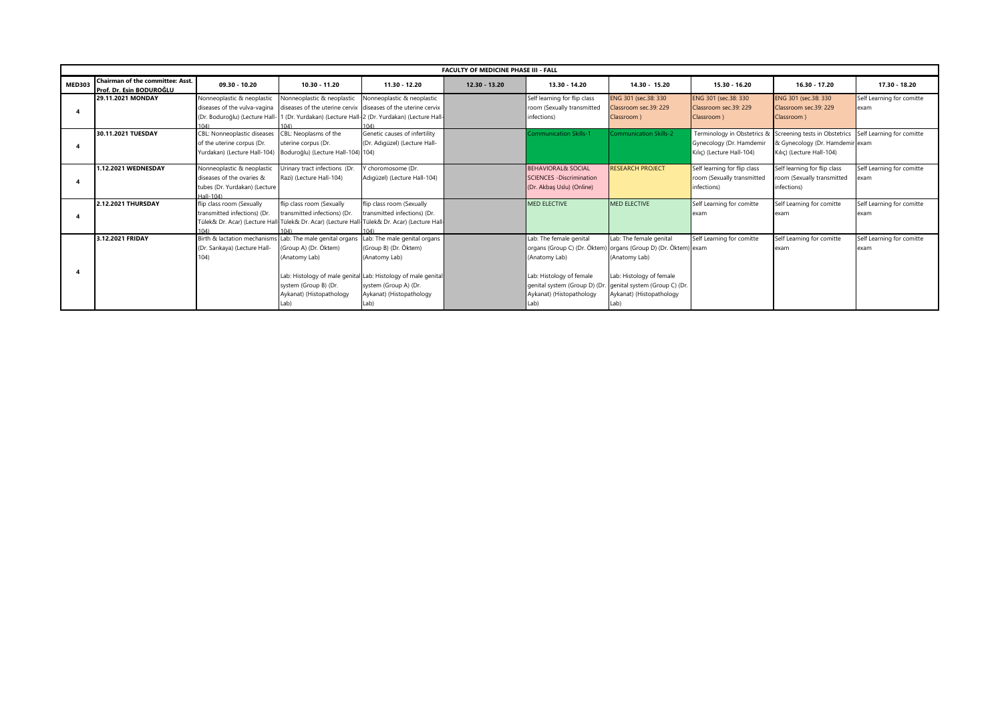|               | <b>FACULTY OF MEDICINE PHASE III - FALL</b>                  |                                                                                                       |                                                                                             |                                                                                                                                                                                                      |               |                                                                                                                                          |                                                                                                                                                                                                     |                                                                                      |                                                                                                                         |                                    |
|---------------|--------------------------------------------------------------|-------------------------------------------------------------------------------------------------------|---------------------------------------------------------------------------------------------|------------------------------------------------------------------------------------------------------------------------------------------------------------------------------------------------------|---------------|------------------------------------------------------------------------------------------------------------------------------------------|-----------------------------------------------------------------------------------------------------------------------------------------------------------------------------------------------------|--------------------------------------------------------------------------------------|-------------------------------------------------------------------------------------------------------------------------|------------------------------------|
| <b>MED303</b> | Chairman of the committee: Asst.<br>Prof. Dr. Esin BODUROĞLU | 09.30 - 10.20                                                                                         | $10.30 - 11.20$                                                                             | 11.30 - 12.20                                                                                                                                                                                        | 12.30 - 13.20 | 13.30 - 14.20                                                                                                                            | 14.30 - 15.20                                                                                                                                                                                       | 15.30 - 16.20                                                                        | $16.30 - 17.20$                                                                                                         | 17.30 - 18.20                      |
|               | 29.11.2021 MONDAY                                            | Nonneoplastic & neoplastic<br>diseases of the vulva-vagina<br>(Dr. Boduroğlu) (Lecture Hall-1         | Nonneoplastic & neoplastic                                                                  | Nonneoplastic & neoplastic<br>diseases of the uterine cervix diseases of the uterine cervix<br>(Dr. Yurdakan) (Lecture Hall-2 (Dr. Yurdakan) (Lecture Hall-<br>104)                                  |               | Self learning for flip class<br>room (Sexually transmitted<br>infections)                                                                | ENG 301 (sec.38: 330<br>Classroom sec.39: 229<br>Classroom)                                                                                                                                         | ENG 301 (sec.38: 330)<br>Classroom sec.39: 229<br>Classroom)                         | ENG 301 (sec.38: 330)<br>Classroom sec.39: 229<br>Classroom)                                                            | Self Learning for comitte<br>lexam |
|               | 30.11.2021 TUESDAY                                           | CBL: Nonneoplastic diseases<br>of the uterine corpus (Dr.<br>Yurdakan) (Lecture Hall-104)             | CBL: Neoplasms of the<br>uterine corpus (Dr.<br>Boduroğlu) (Lecture Hall-104) 104)          | Genetic causes of infertility<br>(Dr. Adıqüzel) (Lecture Hall-                                                                                                                                       |               | Communication Skills-1                                                                                                                   | <b>Communication Skills-2</b>                                                                                                                                                                       | Terminology in Obstetrics &<br>Gynecology (Dr. Hamdemir<br>Kilic) (Lecture Hall-104) | Screening tests in Obstetrics Self Learning for comitte<br>& Gynecology (Dr. Hamdemir exam<br>Kılıç) (Lecture Hall-104) |                                    |
|               | 1.12.2021 WEDNESDAY                                          | Nonneoplastic & neoplastic<br>diseases of the ovaries &<br>tubes (Dr. Yurdakan) (Lecture<br>Hall-104) | Urinary tract infections (Dr.<br>Razi) (Lecture Hall-104)                                   | Y choromosome (Dr.<br>Adıqüzel) (Lecture Hall-104)                                                                                                                                                   |               | <b>BEHAVIORAL&amp; SOCIAL</b><br><b>SCIENCES - Discrimination</b><br>(Dr. Akbaş Uslu) (Online)                                           | <b>RESEARCH PROJECT</b>                                                                                                                                                                             | Self learning for flip class<br>room (Sexually transmitted<br>infections)            | Self learning for flip class<br>room (Sexually transmitted<br>infections)                                               | Self Learning for comitte<br>lexam |
|               | 2.12.2021 THURSDAY                                           | flip class room (Sexually<br>transmitted infections) (Dr.                                             | flip class room (Sexually<br>transmitted infections) (Dr.                                   | flip class room (Sexually<br>transmitted infections) (Dr.<br>Fülek& Dr. Acar) (Lecture Hall Tülek& Dr. Acar) (Lecture Hall Tülek& Dr. Acar) (Lecture Hall                                            |               | <b>MED ELECTIVE</b>                                                                                                                      | <b>MED ELECTIVE</b>                                                                                                                                                                                 | Self Learning for comitte<br>exam                                                    | Self Learning for comitte<br>exam                                                                                       | Self Learning for comitte<br>exam  |
|               | 3.12.2021 FRIDAY                                             | Birth & lactation mechanisms Lab: The male genital organs<br>(Dr. Sarıkaya) (Lecture Hall-<br>(04)    | (Group A) (Dr. Öktem)<br>(Anatomy Lab)<br>system (Group B) (Dr.<br>Aykanat) (Histopathology | Lab: The male genital organs<br>(Group B) (Dr. Öktem)<br>(Anatomy Lab)<br>Lab: Histology of male genital Lab: Histology of male genital<br>system (Group A) (Dr.<br>Aykanat) (Histopathology<br>Lab) |               | Lab: The female genital<br>(Anatomy Lab)<br>Lab: Histology of female<br>genital system (Group D) (Dr<br>Aykanat) (Histopathology<br>Lab) | Lab: The female genital<br>organs (Group C) (Dr. Öktem) organs (Group D) (Dr. Öktem) exam<br>(Anatomy Lab)<br>Lab: Histology of female<br>genital system (Group C) (Dr.<br>Aykanat) (Histopathology | Self Learning for comitte                                                            | Self Learning for comitte<br>exam                                                                                       | Self Learning for comitte<br>lexam |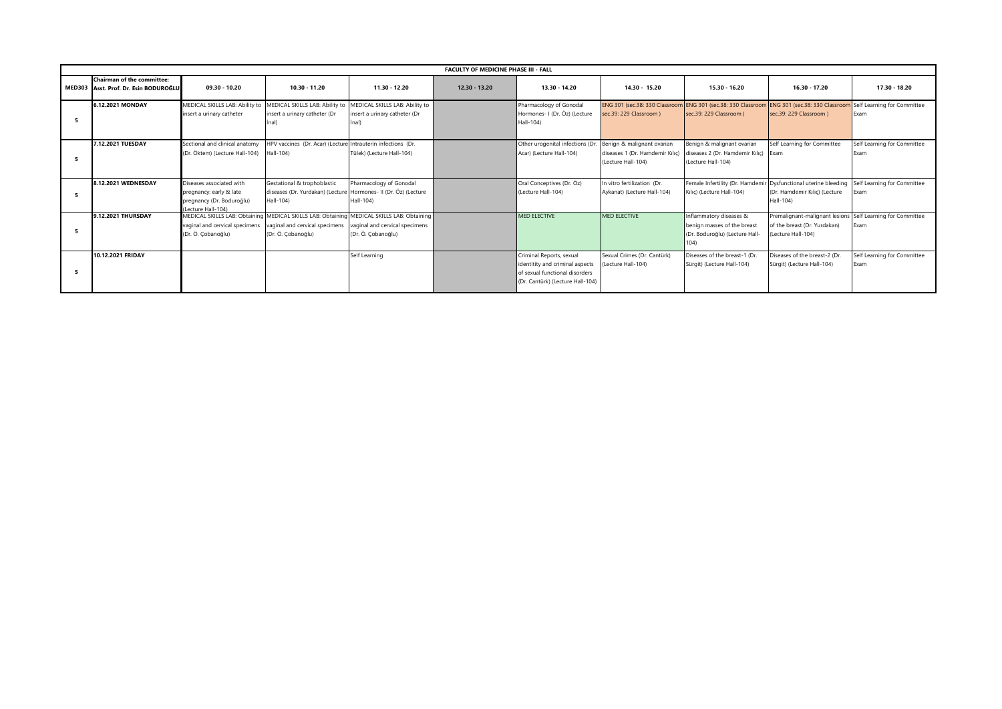| <b>FACULTY OF MEDICINE PHASE III - FALL</b>                                |                                                                                                       |                                                                                                             |                                                                                                                     |                 |                                                                                                                                   |                                                                                     |                                                                                                  |                                                                                      |                                     |  |
|----------------------------------------------------------------------------|-------------------------------------------------------------------------------------------------------|-------------------------------------------------------------------------------------------------------------|---------------------------------------------------------------------------------------------------------------------|-----------------|-----------------------------------------------------------------------------------------------------------------------------------|-------------------------------------------------------------------------------------|--------------------------------------------------------------------------------------------------|--------------------------------------------------------------------------------------|-------------------------------------|--|
| <b>Chairman of the committee:</b><br>MED303 Asst. Prof. Dr. Esin BODUROĞLU | 09.30 - 10.20                                                                                         | 10.30 - 11.20                                                                                               | 11.30 - 12.20                                                                                                       | $12.30 - 13.20$ | 13.30 - 14.20                                                                                                                     | 14.30 - 15.20                                                                       | 15.30 - 16.20                                                                                    | 16.30 - 17.20                                                                        | 17.30 - 18.20                       |  |
| 6.12.2021 MONDAY                                                           | MEDICAL SKILLS LAB: Ability to<br>insert a urinary catheter                                           | MEDICAL SKILLS LAB: Ability to<br>insert a urinary catheter (Dr<br>İnal)                                    | MEDICAL SKILLS LAB: Ability to<br>insert a urinary catheter (Dr<br>lnal)                                            |                 | Pharmacology of Gonodal<br>Hormones- I (Dr. Öz) (Lecture<br>Hall-104)                                                             | ENG 301 (sec.38: 330 Classroon<br>sec.39: 229 Classroom )                           | ENG 301 (sec.38: 330 Classroom<br>sec.39: 229 Classroom )                                        | ENG 301 (sec.38: 330 Classroom<br>sec.39: 229 Classroom )                            | Self Learning for Committee<br>Exam |  |
| 7.12.2021 TUESDAY                                                          | Sectional and clinical anatomy<br>(Dr. Öktem) (Lecture Hall-104)                                      | HPV vaccines (Dr. Acar) (Lecture<br>Hall-104)                                                               | Intrauterin infections (Dr.<br>Tülek) (Lecture Hall-104)                                                            |                 | Other urogenital infections (Dr.<br>Acar) (Lecture Hall-104)                                                                      | Benign & malignant ovarian<br>diseases 1 (Dr. Hamdemir Kılıç)<br>(Lecture Hall-104) | Benign & malignant ovarian<br>diseases 2 (Dr. Hamdemir Kılıç) Exam<br>(Lecture Hall-104)         | Self Learning for Committee                                                          | Self Learning for Committee<br>Exam |  |
| 8.12.2021 WEDNESDAY                                                        | Diseases associated with<br>pregnancy: early & late<br>pregnancy (Dr. Boduroğlu)<br>Lecture Hall-104) | Gestational & trophoblastic<br>diseases (Dr. Yurdakan) (Lecture Hormones- II (Dr. Öz) (Lecture<br>Hall-104) | Pharmacology of Gonodal<br>Hall-104)                                                                                |                 | Oral Conceptives (Dr. Öz)<br>(Lecture Hall-104)                                                                                   | In vitro fertilization (Dr.<br>Aykanat) (Lecture Hall-104)                          | Female Infertility (Dr. Hamdemir Dysfunctional uterine bleeding<br>Kılıç) (Lecture Hall-104)     | (Dr. Hamdemir Kılıç) (Lecture<br>Hall-104)                                           | Self Learning for Committee<br>Exam |  |
| 9.12.2021 THURSDAY                                                         | <b>MEDICAL SKILLS LAB: Obtaining</b><br>vaginal and cervical specimens<br>(Dr. Ö. Çobanoğlu)          | vaginal and cervical specimens<br>(Dr. Ö. Çobanoğlu)                                                        | MEDICAL SKILLS LAB: Obtaining MEDICAL SKILLS LAB: Obtaining<br>vaginal and cervical specimens<br>(Dr. Ö. Çobanoğlu) |                 | <b>MED ELECTIVE</b>                                                                                                               | MED ELECTIVE                                                                        | Inflammatory diseases &<br>benign masses of the breast<br>(Dr. Boduroğlu) (Lecture Hall-<br>104) | Premalignant-malignant lesions<br>of the breast (Dr. Yurdakan)<br>(Lecture Hall-104) | Self Learning for Committee<br>Exam |  |
| 10.12.2021 FRIDAY                                                          |                                                                                                       |                                                                                                             | Self Learning                                                                                                       |                 | Criminal Reports, sexual<br>identitity and criminal aspects<br>of sexual functional disorders<br>(Dr. Cantürk) (Lecture Hall-104) | Sexual Crimes (Dr. Cantürk)<br>Lecture Hall-104)                                    | Diseases of the breast-1 (Dr.<br>Sürgit) (Lecture Hall-104)                                      | Diseases of the breast-2 (Dr.<br>Sürgit) (Lecture Hall-104)                          | Self Learning for Committee<br>Exam |  |